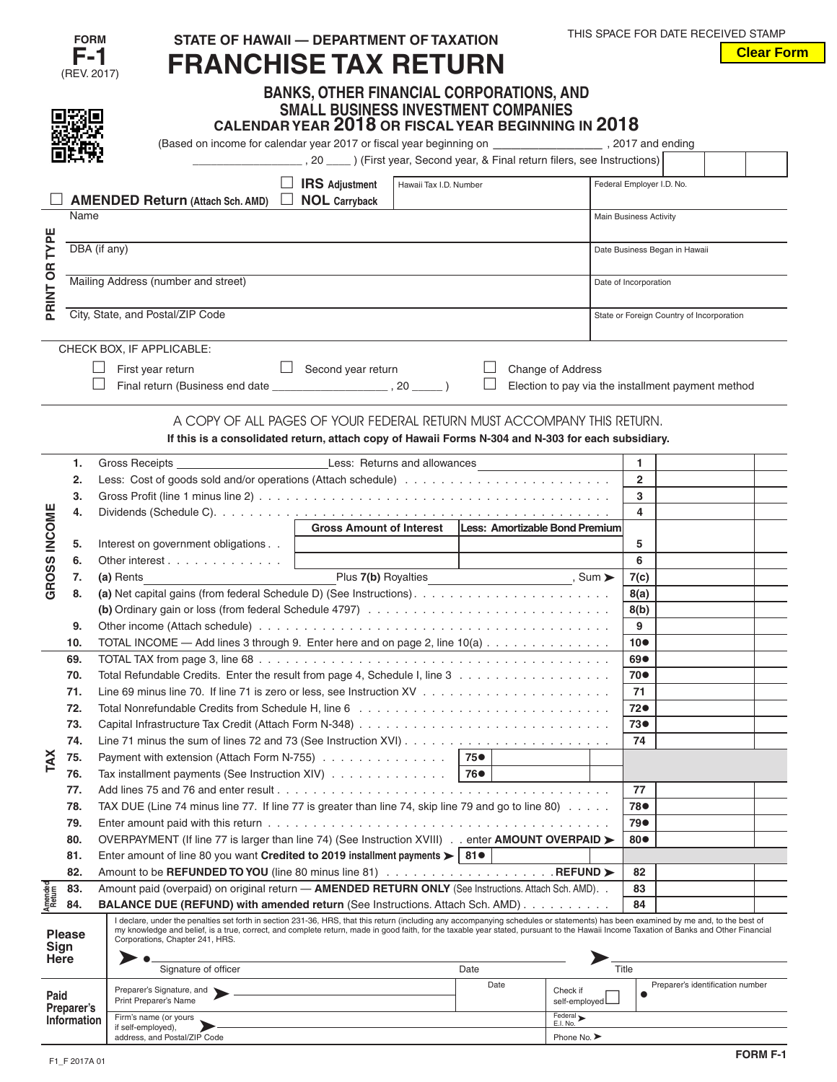|                   | <b>FORM</b>               | STATE OF HAWAII - DEPARTMENT OF TAXATION                                                                                                                                                       |                                                           |                                                    |                         | THIS SPACE FOR DATE RECEIVED STAMP |                                           |                   |  |
|-------------------|---------------------------|------------------------------------------------------------------------------------------------------------------------------------------------------------------------------------------------|-----------------------------------------------------------|----------------------------------------------------|-------------------------|------------------------------------|-------------------------------------------|-------------------|--|
|                   | F-1                       |                                                                                                                                                                                                |                                                           |                                                    |                         |                                    |                                           | <b>Clear Form</b> |  |
|                   | (REV. 2017)               | <b>FRANCHISE TAX RETURN</b>                                                                                                                                                                    |                                                           |                                                    |                         |                                    |                                           |                   |  |
|                   |                           | <b>BANKS, OTHER FINANCIAL CORPORATIONS, AND</b>                                                                                                                                                |                                                           |                                                    |                         |                                    |                                           |                   |  |
|                   |                           | SMALL BUSINESS INVESTMENT COMPANIES                                                                                                                                                            |                                                           |                                                    |                         |                                    |                                           |                   |  |
|                   |                           | CALENDAR YEAR 2018 OR FISCAL YEAR BEGINNING IN 2018                                                                                                                                            |                                                           |                                                    |                         |                                    |                                           |                   |  |
|                   |                           |                                                                                                                                                                                                |                                                           |                                                    |                         |                                    |                                           |                   |  |
|                   |                           | $\hspace{0.1 cm} \rule{0.1 cm}{0.1 cm}$ $\hspace{0.1 cm}$ (First year, Second year, & Final return filers, see Instructions)                                                                   |                                                           |                                                    |                         |                                    |                                           |                   |  |
|                   |                           | <b>IRS</b> Adjustment                                                                                                                                                                          | Hawaii Tax I.D. Number                                    | Federal Employer I.D. No.                          |                         |                                    |                                           |                   |  |
|                   |                           | $\Box$ NOL Carryback<br><b>AMENDED Return (Attach Sch. AMD)</b>                                                                                                                                |                                                           |                                                    |                         |                                    |                                           |                   |  |
|                   | Name                      |                                                                                                                                                                                                |                                                           | <b>Main Business Activity</b>                      |                         |                                    |                                           |                   |  |
| ш                 |                           |                                                                                                                                                                                                |                                                           |                                                    |                         |                                    |                                           |                   |  |
| TYPI              | DBA (if any)              |                                                                                                                                                                                                |                                                           | Date Business Began in Hawaii                      |                         |                                    |                                           |                   |  |
|                   |                           |                                                                                                                                                                                                |                                                           |                                                    |                         |                                    |                                           |                   |  |
| PRINT OR          |                           | Mailing Address (number and street)                                                                                                                                                            |                                                           |                                                    | Date of Incorporation   |                                    |                                           |                   |  |
|                   |                           | City, State, and Postal/ZIP Code                                                                                                                                                               |                                                           |                                                    |                         |                                    | State or Foreign Country of Incorporation |                   |  |
|                   |                           |                                                                                                                                                                                                |                                                           |                                                    |                         |                                    |                                           |                   |  |
|                   |                           | CHECK BOX, IF APPLICABLE:                                                                                                                                                                      |                                                           |                                                    |                         |                                    |                                           |                   |  |
|                   |                           |                                                                                                                                                                                                |                                                           |                                                    |                         |                                    |                                           |                   |  |
|                   |                           | $\Box$ Second year return<br>First year return                                                                                                                                                 | ⊔                                                         | Change of Address                                  |                         |                                    |                                           |                   |  |
|                   |                           | Final return (Business end date _______________________, 20 _____)                                                                                                                             |                                                           | Election to pay via the installment payment method |                         |                                    |                                           |                   |  |
|                   |                           |                                                                                                                                                                                                |                                                           |                                                    |                         |                                    |                                           |                   |  |
|                   |                           | A COPY OF ALL PAGES OF YOUR FEDERAL RETURN MUST ACCOMPANY THIS RETURN.                                                                                                                         |                                                           |                                                    |                         |                                    |                                           |                   |  |
|                   |                           | If this is a consolidated return, attach copy of Hawaii Forms N-304 and N-303 for each subsidiary.                                                                                             |                                                           |                                                    |                         |                                    |                                           |                   |  |
|                   | 1.                        |                                                                                                                                                                                                |                                                           |                                                    | $\mathbf{1}$            |                                    |                                           |                   |  |
|                   | 2.                        |                                                                                                                                                                                                |                                                           |                                                    | $\overline{2}$          |                                    |                                           |                   |  |
|                   | 3.                        |                                                                                                                                                                                                |                                                           |                                                    | 3                       |                                    |                                           |                   |  |
|                   | 4.                        |                                                                                                                                                                                                |                                                           |                                                    | $\overline{\mathbf{4}}$ |                                    |                                           |                   |  |
|                   |                           |                                                                                                                                                                                                | Gross Amount of Interest   Less: Amortizable Bond Premium |                                                    |                         |                                    |                                           |                   |  |
|                   | 5.                        | Interest on government obligations                                                                                                                                                             |                                                           |                                                    | 5                       |                                    |                                           |                   |  |
|                   | 6.                        | Other interest                                                                                                                                                                                 |                                                           |                                                    | 6                       |                                    |                                           |                   |  |
| GROSS INCOME      | 7.                        | (a) Rents                                                                                                                                                                                      | Plus 7(b) Royalties (Department of the Sum →              |                                                    | 7(c)                    |                                    |                                           |                   |  |
|                   | 8.                        |                                                                                                                                                                                                |                                                           |                                                    | 8(a)                    |                                    |                                           |                   |  |
|                   |                           |                                                                                                                                                                                                |                                                           |                                                    | 8(b)<br>9               |                                    |                                           |                   |  |
|                   | 9.<br>10.                 | TOTAL INCOME — Add lines 3 through 9. Enter here and on page 2, line 10(a)                                                                                                                     |                                                           |                                                    | 10 <sup>o</sup>         |                                    |                                           |                   |  |
|                   | 69.                       |                                                                                                                                                                                                |                                                           |                                                    | 69●                     |                                    |                                           |                   |  |
|                   | 70.                       | Total Refundable Credits. Enter the result from page 4, Schedule I, line 3                                                                                                                     |                                                           |                                                    | 70●                     |                                    |                                           |                   |  |
|                   | 71.                       |                                                                                                                                                                                                |                                                           |                                                    | 71                      |                                    |                                           |                   |  |
|                   | 72.                       |                                                                                                                                                                                                |                                                           |                                                    | 72●                     |                                    |                                           |                   |  |
|                   | 73.                       |                                                                                                                                                                                                |                                                           | 73●                                                |                         |                                    |                                           |                   |  |
|                   | 74.                       |                                                                                                                                                                                                |                                                           | 74                                                 |                         |                                    |                                           |                   |  |
| TAX               | 75.                       | Payment with extension (Attach Form N-755)                                                                                                                                                     |                                                           |                                                    |                         |                                    |                                           |                   |  |
|                   | 76.                       | Tax installment payments (See Instruction XIV)                                                                                                                                                 | 76●                                                       |                                                    |                         |                                    |                                           |                   |  |
|                   | 77.                       |                                                                                                                                                                                                |                                                           | 77                                                 |                         |                                    |                                           |                   |  |
|                   | 78.                       | TAX DUE (Line 74 minus line 77. If line 77 is greater than line 74, skip line 79 and go to line 80)                                                                                            |                                                           |                                                    | 78●                     |                                    |                                           |                   |  |
|                   | 79.                       |                                                                                                                                                                                                |                                                           |                                                    | 79●                     |                                    |                                           |                   |  |
|                   | 80.                       | OVERPAYMENT (If line 77 is larger than line 74) (See Instruction XVIII) enter AMOUNT OVERPAID ►                                                                                                |                                                           |                                                    | 80●                     |                                    |                                           |                   |  |
|                   | 81.                       | Enter amount of line 80 you want Credited to 2019 installment payments $> 81$ 81                                                                                                               |                                                           |                                                    |                         |                                    |                                           |                   |  |
|                   | 82.                       |                                                                                                                                                                                                |                                                           |                                                    | 82                      |                                    |                                           |                   |  |
| Amended<br>Return | 83.<br>84.                | Amount paid (overpaid) on original return - AMENDED RETURN ONLY (See Instructions. Attach Sch. AMD). .<br><b>BALANCE DUE (REFUND) with amended return (See Instructions. Attach Sch. AMD).</b> |                                                           |                                                    | 83<br>84                |                                    |                                           |                   |  |
|                   |                           | I declare, under the penalties set forth in section 231-36, HRS, that this return (including any accompanying schedules or statements) has been examined by me and, to the best of             |                                                           |                                                    |                         |                                    |                                           |                   |  |
|                   | <b>Please</b>             | my knowledge and belief, is a true, correct, and complete return, made in good faith, for the taxable year stated, pursuant to the Hawaii Income Taxation of Banks and Other Financial         |                                                           |                                                    |                         |                                    |                                           |                   |  |
| <b>Sign</b>       |                           | Corporations, Chapter 241, HRS.                                                                                                                                                                |                                                           |                                                    |                         |                                    |                                           |                   |  |
| <b>Here</b>       |                           | Signature of officer                                                                                                                                                                           | Date                                                      | Title                                              |                         |                                    |                                           |                   |  |
|                   |                           | Preparer's Signature, and                                                                                                                                                                      | Date                                                      |                                                    |                         |                                    | Preparer's identification number          |                   |  |
| Paid              |                           | Print Preparer's Name                                                                                                                                                                          |                                                           | Check if<br>self-employed                          |                         |                                    |                                           |                   |  |
|                   |                           |                                                                                                                                                                                                |                                                           |                                                    |                         |                                    |                                           |                   |  |
|                   | Preparer's<br>Information | Firm's name (or yours<br>if self-employed),                                                                                                                                                    |                                                           | Federal ><br>E.I. No.                              |                         |                                    |                                           |                   |  |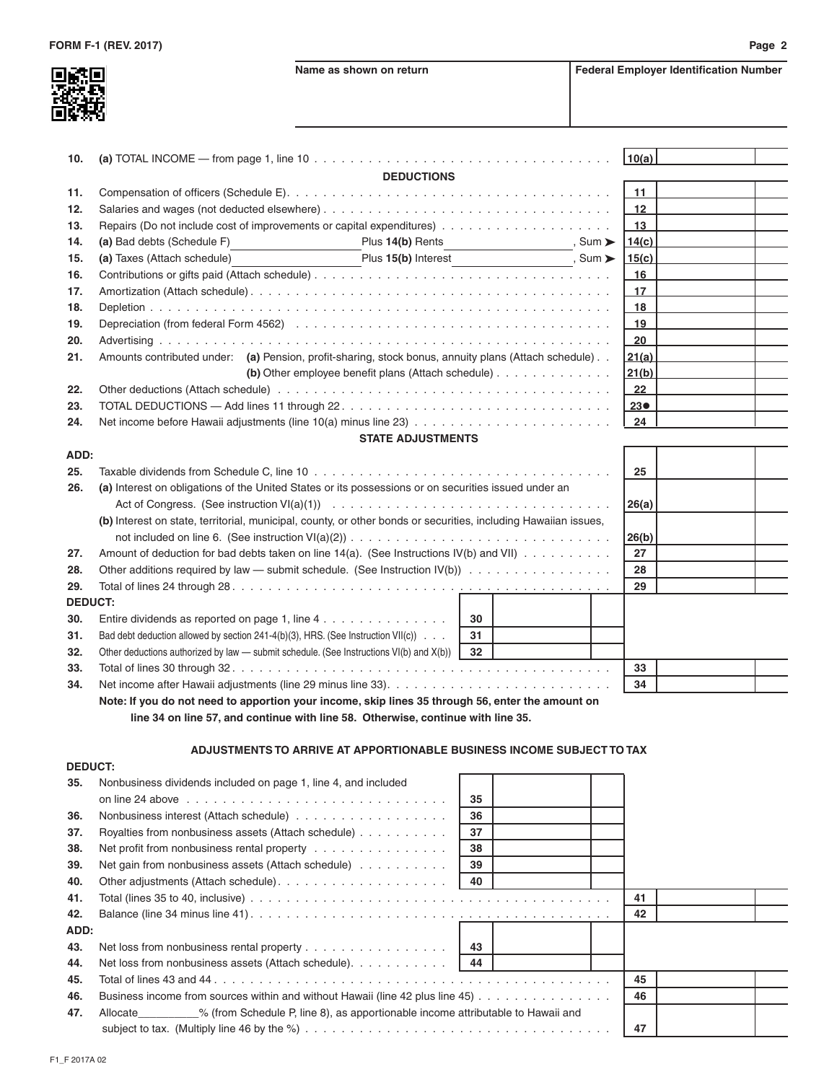回說回

**Name as shown on return Federal Employer Identification Number** 

| 10.  |                                                                                                                   | 10(a)       |  |
|------|-------------------------------------------------------------------------------------------------------------------|-------------|--|
|      | <b>DEDUCTIONS</b>                                                                                                 |             |  |
| 11.  |                                                                                                                   | 11          |  |
| 12.  |                                                                                                                   | 12          |  |
| 13.  |                                                                                                                   | 13          |  |
| 14.  | Plus 14(b) Rents_____________________, Sum ➤                                                                      | 14(c)       |  |
| 15.  | (a) Taxes (Attach schedule)<br>Plus 15(b) Interest Number 2012 3 Sum >                                            | 15(c)       |  |
| 16.  |                                                                                                                   | 16          |  |
| 17.  |                                                                                                                   | 17          |  |
| 18.  |                                                                                                                   | 18          |  |
| 19.  |                                                                                                                   | 19          |  |
| 20.  |                                                                                                                   | 20          |  |
| 21.  | Amounts contributed under: (a) Pension, profit-sharing, stock bonus, annuity plans (Attach schedule)              | 21(a)       |  |
|      | (b) Other employee benefit plans (Attach schedule) $\ldots$ ,                                                     | 21(b)       |  |
| 22.  |                                                                                                                   | 22          |  |
| 23.  |                                                                                                                   | $23\bullet$ |  |
| 24.  |                                                                                                                   | 24          |  |
|      | <b>STATE ADJUSTMENTS</b>                                                                                          |             |  |
| ADD: |                                                                                                                   |             |  |
| 25.  |                                                                                                                   | 25          |  |
| 26.  | (a) Interest on obligations of the United States or its possessions or on securities issued under an              |             |  |
|      |                                                                                                                   | 26(a)       |  |
|      | (b) Interest on state, territorial, municipal, county, or other bonds or securities, including Hawaiian issues,   |             |  |
|      |                                                                                                                   | 26(b)       |  |
| 27.  | Amount of deduction for bad debts taken on line $14(a)$ . (See Instructions IV(b) and VII) $\ldots \ldots \ldots$ | 27          |  |
| 28.  | Other additions required by law — submit schedule. (See Instruction $\mathsf{IV}(b)$ )                            | 28          |  |
| 29.  |                                                                                                                   | 29          |  |

| 29.            | 29                                                                                               |    |  |  |     |  |
|----------------|--------------------------------------------------------------------------------------------------|----|--|--|-----|--|
| <b>DEDUCT:</b> |                                                                                                  |    |  |  |     |  |
| 30.            | Entire dividends as reported on page 1, line 4                                                   | 30 |  |  |     |  |
| 31.            | Bad debt deduction allowed by section 241-4(b)(3), HRS. (See Instruction VII(c))                 | 31 |  |  |     |  |
| 32.            | Other deductions authorized by law — submit schedule. (See Instructions VI(b) and $X(b)$ ) 32    |    |  |  |     |  |
| 33.            |                                                                                                  |    |  |  | 33  |  |
| 34.            |                                                                                                  |    |  |  | -34 |  |
|                | Note: If you do not need to apportion your income, skip lines 35 through 56, enter the amount on |    |  |  |     |  |

 **line 34 on line 57, and continue with line 58. Otherwise, continue with line 35.**

## **ADJUSTMENTS TO ARRIVE AT APPORTIONABLE BUSINESS INCOME SUBJECT TO TAX**

| <b>DEDUCT:</b> |                                                                                                    |      |  |    |  |
|----------------|----------------------------------------------------------------------------------------------------|------|--|----|--|
| 35.            | Nonbusiness dividends included on page 1, line 4, and included                                     |      |  |    |  |
|                | on line 24 above $\ldots \ldots \ldots \ldots \ldots \ldots \ldots \ldots \ldots$                  | 35   |  |    |  |
| 36.            |                                                                                                    | 36   |  |    |  |
| 37.            | Royalties from nonbusiness assets (Attach schedule)                                                | 37   |  |    |  |
| 38.            | Net profit from nonbusiness rental property                                                        | 38   |  |    |  |
| 39.            | Net gain from nonbusiness assets (Attach schedule)                                                 | 39   |  |    |  |
| 40.            |                                                                                                    | 40   |  |    |  |
| 41.            |                                                                                                    |      |  | 41 |  |
| 42.            |                                                                                                    |      |  | 42 |  |
| ADD:           |                                                                                                    |      |  |    |  |
| 43.            | Net loss from nonbusiness rental property                                                          | 43   |  |    |  |
| 44.            | Net loss from nonbusiness assets (Attach schedule).                                                | l 44 |  |    |  |
| 45.            |                                                                                                    |      |  | 45 |  |
| 46.            | Business income from sources within and without Hawaii (line 42 plus line 45)                      | 46   |  |    |  |
| 47.            | Allocate __________% (from Schedule P, line 8), as apportionable income attributable to Hawaii and |      |  |    |  |
|                |                                                                                                    | 47   |  |    |  |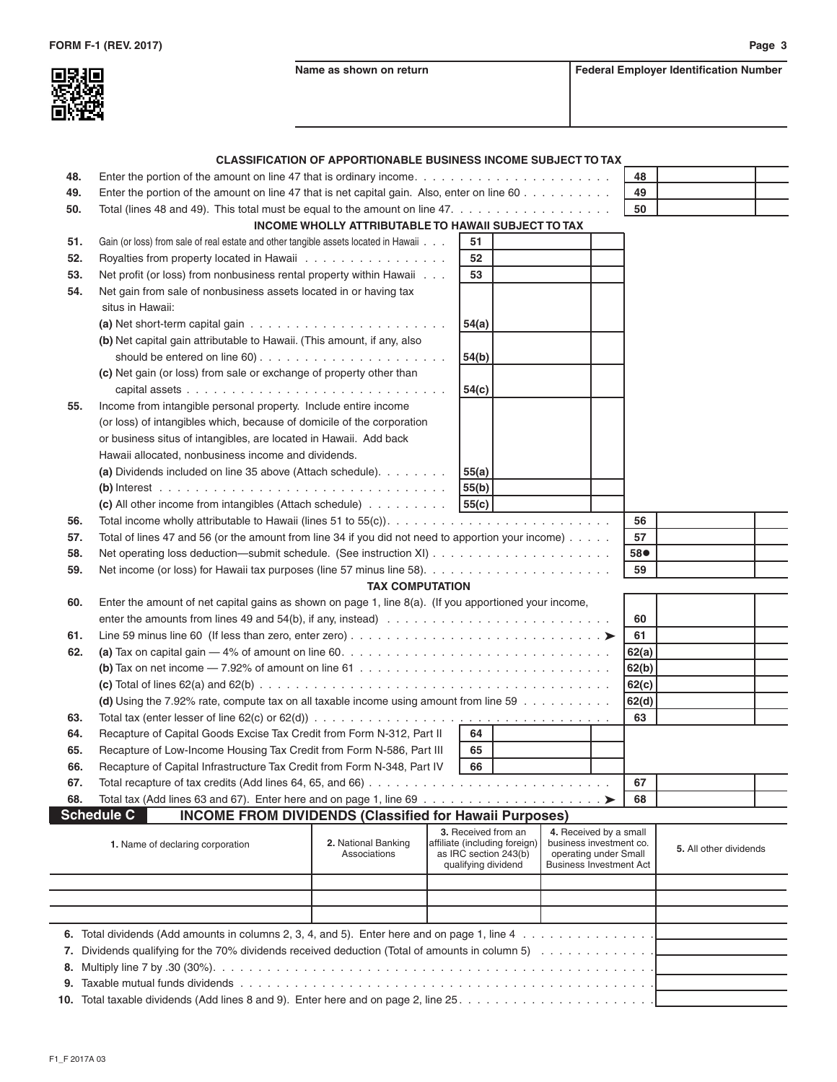回乳回

**Name as shown on return Federal Employer Identification Number** 

| 48. | Enter the portion of the amount on line 47 that is ordinary income. $\ldots \ldots \ldots \ldots \ldots \ldots \ldots \ldots$         |                                                                                                      |                                                                                                              | 48    |                        |  |
|-----|---------------------------------------------------------------------------------------------------------------------------------------|------------------------------------------------------------------------------------------------------|--------------------------------------------------------------------------------------------------------------|-------|------------------------|--|
| 49. | Enter the portion of the amount on line 47 that is net capital gain. Also, enter on line 60                                           |                                                                                                      |                                                                                                              | 49    |                        |  |
| 50. | Total (lines 48 and 49). This total must be equal to the amount on line 47. $\ldots$ , $\ldots$ , $\ldots$ , $\ldots$ , $\ldots$      |                                                                                                      |                                                                                                              | 50    |                        |  |
|     | INCOME WHOLLY ATTRIBUTABLE TO HAWAII SUBJECT TO TAX                                                                                   |                                                                                                      |                                                                                                              |       |                        |  |
| 51. | Gain (or loss) from sale of real estate and other tangible assets located in Hawaii                                                   | 51                                                                                                   |                                                                                                              |       |                        |  |
| 52. | Royalties from property located in Hawaii                                                                                             | 52                                                                                                   |                                                                                                              |       |                        |  |
| 53. | Net profit (or loss) from nonbusiness rental property within Hawaii                                                                   | 53                                                                                                   |                                                                                                              |       |                        |  |
| 54. | Net gain from sale of nonbusiness assets located in or having tax<br>situs in Hawaii:                                                 |                                                                                                      |                                                                                                              |       |                        |  |
|     | (a) Net short-term capital gain $\ldots \ldots \ldots \ldots \ldots \ldots \ldots \ldots$                                             | 54(a)                                                                                                |                                                                                                              |       |                        |  |
|     | (b) Net capital gain attributable to Hawaii. (This amount, if any, also                                                               |                                                                                                      |                                                                                                              |       |                        |  |
|     |                                                                                                                                       | 54(b)                                                                                                |                                                                                                              |       |                        |  |
|     | (c) Net gain (or loss) from sale or exchange of property other than                                                                   | 54(c)                                                                                                |                                                                                                              |       |                        |  |
| 55. | Income from intangible personal property. Include entire income                                                                       |                                                                                                      |                                                                                                              |       |                        |  |
|     | (or loss) of intangibles which, because of domicile of the corporation                                                                |                                                                                                      |                                                                                                              |       |                        |  |
|     | or business situs of intangibles, are located in Hawaii. Add back                                                                     |                                                                                                      |                                                                                                              |       |                        |  |
|     | Hawaii allocated, nonbusiness income and dividends.                                                                                   |                                                                                                      |                                                                                                              |       |                        |  |
|     | (a) Dividends included on line 35 above (Attach schedule).                                                                            | 55(a)                                                                                                |                                                                                                              |       |                        |  |
|     |                                                                                                                                       | 55(b)                                                                                                |                                                                                                              |       |                        |  |
|     | (c) All other income from intangibles (Attach schedule) $\ldots$                                                                      | 55(c)                                                                                                |                                                                                                              |       |                        |  |
| 56. |                                                                                                                                       |                                                                                                      |                                                                                                              | 56    |                        |  |
| 57. | Total of lines 47 and 56 (or the amount from line 34 if you did not need to apportion your income)                                    |                                                                                                      |                                                                                                              | 57    |                        |  |
| 58. |                                                                                                                                       |                                                                                                      |                                                                                                              | 58●   |                        |  |
| 59. |                                                                                                                                       |                                                                                                      |                                                                                                              | 59    |                        |  |
|     | <b>TAX COMPUTATION</b>                                                                                                                |                                                                                                      |                                                                                                              |       |                        |  |
| 60. | Enter the amount of net capital gains as shown on page 1, line $8(a)$ . (If you apportioned your income,                              |                                                                                                      |                                                                                                              |       |                        |  |
|     |                                                                                                                                       |                                                                                                      |                                                                                                              | 60    |                        |  |
| 61. |                                                                                                                                       |                                                                                                      |                                                                                                              | 61    |                        |  |
| 62. |                                                                                                                                       |                                                                                                      |                                                                                                              | 62(a) |                        |  |
|     | (b) Tax on net income $-7.92\%$ of amount on line 61 $\dots \dots \dots \dots \dots \dots \dots \dots \dots \dots \dots \dots$        |                                                                                                      |                                                                                                              | 62(b) |                        |  |
|     |                                                                                                                                       |                                                                                                      |                                                                                                              | 62(c) |                        |  |
|     | (d) Using the 7.92% rate, compute tax on all taxable income using amount from line 59                                                 |                                                                                                      |                                                                                                              | 62(d) |                        |  |
| 63. | Total tax (enter lesser of line 62(c) or 62(d)) $\ldots \ldots \ldots \ldots \ldots \ldots \ldots \ldots \ldots \ldots \ldots \ldots$ |                                                                                                      |                                                                                                              | 63    |                        |  |
| 64. | Recapture of Capital Goods Excise Tax Credit from Form N-312, Part II                                                                 | 64                                                                                                   |                                                                                                              |       |                        |  |
| 65. | Recapture of Low-Income Housing Tax Credit from Form N-586, Part III                                                                  | 65                                                                                                   |                                                                                                              |       |                        |  |
| 66. | Recapture of Capital Infrastructure Tax Credit from Form N-348, Part IV                                                               | 66                                                                                                   |                                                                                                              |       |                        |  |
| 67. |                                                                                                                                       |                                                                                                      |                                                                                                              | 67    |                        |  |
| 68. | Total tax (Add lines 63 and 67). Enter here and on page 1, line 69 $\dots$ $\blacktriangleright$                                      |                                                                                                      |                                                                                                              | 68    |                        |  |
|     | <b>Schedule C</b><br><b>INCOME FROM DIVIDENDS (Classified for Hawaii Purposes)</b>                                                    |                                                                                                      |                                                                                                              |       |                        |  |
|     | 2. National Banking<br>1. Name of declaring corporation<br>Associations                                                               | 3. Received from an<br>affiliate (including foreign)<br>as IRC section 243(b)<br>qualifying dividend | 4. Received by a small<br>business investment co.<br>operating under Small<br><b>Business Investment Act</b> |       | 5. All other dividends |  |
|     |                                                                                                                                       |                                                                                                      |                                                                                                              |       |                        |  |
|     |                                                                                                                                       |                                                                                                      |                                                                                                              |       |                        |  |
|     |                                                                                                                                       |                                                                                                      |                                                                                                              |       |                        |  |
|     |                                                                                                                                       |                                                                                                      |                                                                                                              |       |                        |  |
|     |                                                                                                                                       |                                                                                                      |                                                                                                              |       |                        |  |

**10.** Total taxable dividends (Add lines 8 and 9). Enter here and on page 2, line 25